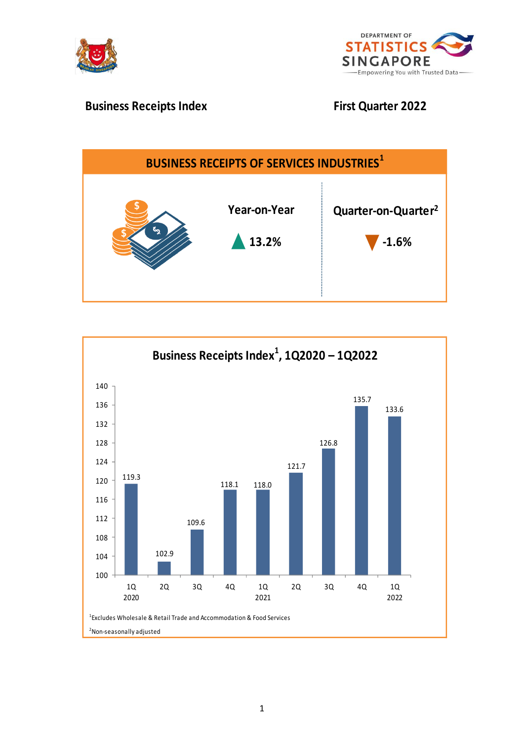



# **Business Receipts Index First Quarter 2022**



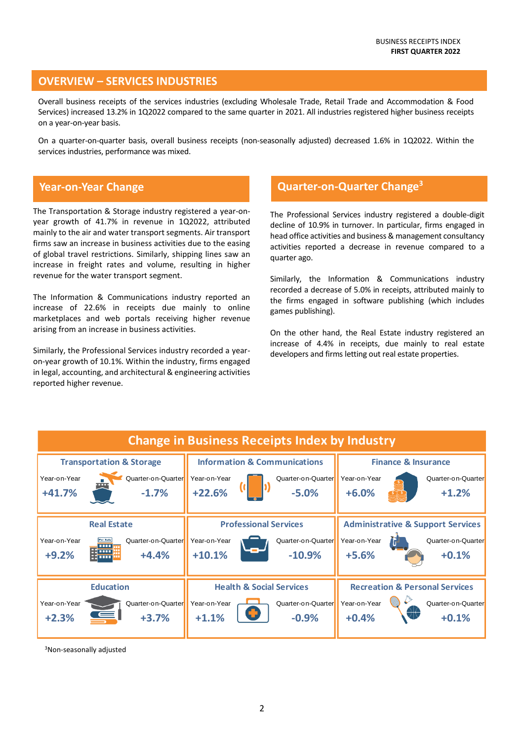## **OVERVIEW – SERVICES INDUSTRIES**

Overall business receipts of the services industries (excluding Wholesale Trade, Retail Trade and Accommodation & Food Services) increased 13.2% in 1Q2022 compared to the same quarter in 2021. All industries registered higher business receipts on a year-on-year basis.

On a quarter-on-quarter basis, overall business receipts (non-seasonally adjusted) decreased 1.6% in 1Q2022. Within the services industries, performance was mixed.

## **Year-on-Year Change**

The Transportation & Storage industry registered a year-onyear growth of 41.7% in revenue in 1Q2022, attributed mainly to the air and water transport segments. Air transport firms saw an increase in business activities due to the easing of global travel restrictions. Similarly, shipping lines saw an increase in freight rates and volume, resulting in higher revenue for the water transport segment.

The Information & Communications industry reported an increase of 22.6% in receipts due mainly to online marketplaces and web portals receiving higher revenue arising from an increase in business activities.

Similarly, the Professional Services industry recorded a yearon-year growth of 10.1%. Within the industry, firms engaged in legal, accounting, and architectural & engineering activities reported higher revenue.

## **Quarter-on-Quarter Change<sup>3</sup>**

The Professional Services industry registered a double-digit decline of 10.9% in turnover. In particular, firms engaged in head office activities and business & management consultancy activities reported a decrease in revenue compared to a quarter ago.

Similarly, the Information & Communications industry recorded a decrease of 5.0% in receipts, attributed mainly to the firms engaged in software publishing (which includes games publishing).

On the other hand, the Real Estate industry registered an increase of 4.4% in receipts, due mainly to real estate developers and firms letting out real estate properties.

| <b>Change in Business Receipts Index by Industry</b>                         |                                                                                                  |                                                                                                 |                              |                                                                          |                                                                                                            |                                |                                                                               |  |  |  |  |
|------------------------------------------------------------------------------|--------------------------------------------------------------------------------------------------|-------------------------------------------------------------------------------------------------|------------------------------|--------------------------------------------------------------------------|------------------------------------------------------------------------------------------------------------|--------------------------------|-------------------------------------------------------------------------------|--|--|--|--|
| Year-on-Year<br>$+41.7%$                                                     | <b>Transportation &amp; Storage</b><br>Quarter-on-Quarter<br>$\bullet\bullet\bullet$<br>$-1.7\%$ | Year-on-Year<br>$+22.6%$                                                                        |                              | <b>Information &amp; Communications</b><br>Quarter-on-Quarter<br>$-5.0%$ | Year-on-Year<br>$+6.0%$                                                                                    | <b>Finance &amp; Insurance</b> | Quarter-on-Quarter<br>$+1.2%$                                                 |  |  |  |  |
| Year-on-Year<br>$+9.2%$                                                      | <b>Real Estate</b><br><b>For Sale</b><br>Quarter-on-Quarter<br>.<br>.<br>$+4.4%$<br>86 mm        | Year-on-Year<br>$+10.1%$                                                                        | <b>Professional Services</b> | Quarter-on-Quarter<br>$-10.9%$                                           | Year-on-Year<br>$+5.6%$                                                                                    |                                | <b>Administrative &amp; Support Services</b><br>Quarter-on-Quarter<br>$+0.1%$ |  |  |  |  |
| <b>Education</b><br>Quarter-on-Quarter<br>Year-on-Year<br>$+2.3%$<br>$+3.7%$ |                                                                                                  | <b>Health &amp; Social Services</b><br>Quarter-on-Quarter<br>Year-on-Year<br>$+1.1%$<br>$-0.9%$ |                              |                                                                          | <b>Recreation &amp; Personal Services</b><br>Year-on-Year<br>Quarter-on-Quarter<br>Ж<br>$+0.4%$<br>$+0.1%$ |                                |                                                                               |  |  |  |  |

<sup>3</sup>Non-seasonally adjusted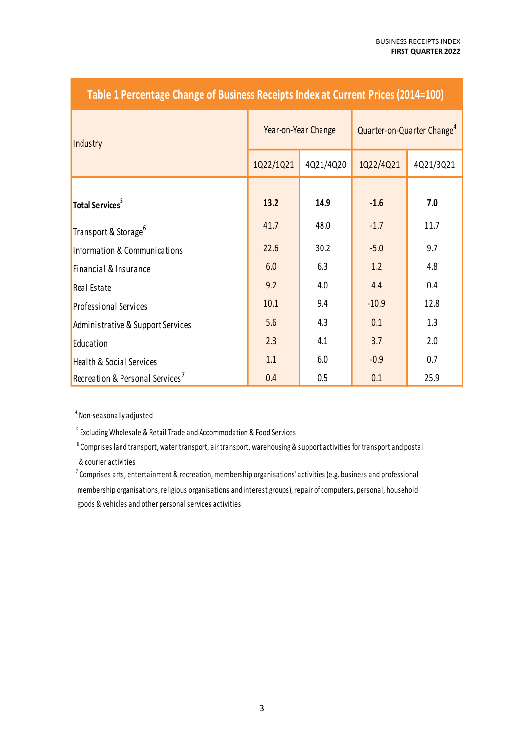| Table I Percentage Change of Dusiness Receipts index at Current Prices (2014–100) |           |                     |                                        |           |  |  |  |  |  |
|-----------------------------------------------------------------------------------|-----------|---------------------|----------------------------------------|-----------|--|--|--|--|--|
| Industry                                                                          |           | Year-on-Year Change | Quarter-on-Quarter Change <sup>4</sup> |           |  |  |  |  |  |
|                                                                                   | 1Q22/1Q21 | 4Q21/4Q20           | 1Q22/4Q21                              | 4Q21/3Q21 |  |  |  |  |  |
| Total Services <sup>5</sup>                                                       | 13.2      | 14.9                | $-1.6$                                 | 7.0       |  |  |  |  |  |
| Transport & Storage <sup>6</sup>                                                  | 41.7      | 48.0                | $-1.7$                                 | 11.7      |  |  |  |  |  |
| Information & Communications                                                      | 22.6      | 30.2                | $-5.0$                                 | 9.7       |  |  |  |  |  |
| Financial & Insurance                                                             | 6.0       | 6.3                 | 1.2                                    | 4.8       |  |  |  |  |  |
| Real Estate                                                                       | 9.2       | 4.0                 | 4.4                                    | 0.4       |  |  |  |  |  |
| <b>Professional Services</b>                                                      | 10.1      | 9.4                 | $-10.9$                                | 12.8      |  |  |  |  |  |
| Administrative & Support Services                                                 | 5.6       | 4.3                 | 0.1                                    | 1.3       |  |  |  |  |  |
| Education                                                                         | 2.3       | 4.1                 | 3.7                                    | 2.0       |  |  |  |  |  |
| <b>Health &amp; Social Services</b>                                               | 1.1       | 6.0                 | $-0.9$                                 | 0.7       |  |  |  |  |  |
| Recreation & Personal Services <sup>7</sup>                                       | 0.4       | 0.5                 | 0.1                                    | 25.9      |  |  |  |  |  |

## **Table 1 Percent Design Contract Of Prices Index 2014**

<sup>4</sup> Non-seasonally adjusted

<sup>5</sup> Excluding Wholesale & Retail Trade and Accommodation & Food Services

<sup>6</sup> Comprises land transport, water transport, air transport, warehousing & support activities for transport and postal & courier activities

 $7$  Comprises arts, entertainment & recreation, membership organisations' activities (e.g. business and professional membership organisations, religious organisations and interest groups), repair of computers, personal, household goods & vehicles and other personal services activities.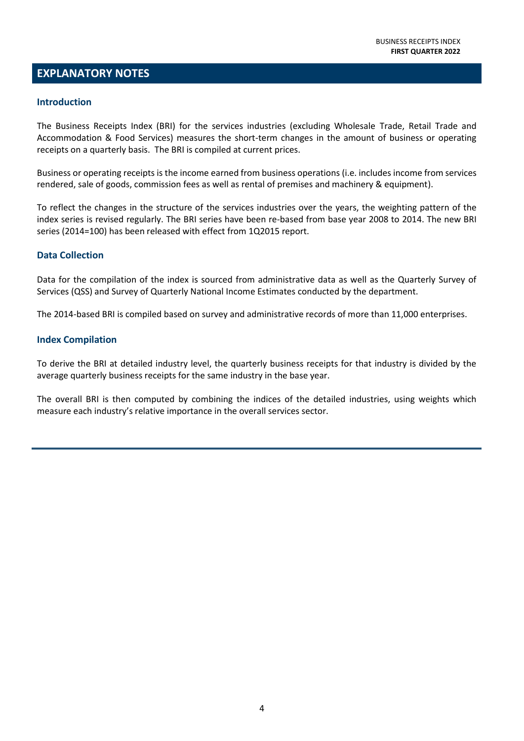## **EXPLANATORY NOTES**

### **Introduction**

The Business Receipts Index (BRI) for the services industries (excluding Wholesale Trade, Retail Trade and Accommodation & Food Services) measures the short-term changes in the amount of business or operating receipts on a quarterly basis. The BRI is compiled at current prices.

Business or operating receipts is the income earned from business operations (i.e. includes income from services rendered, sale of goods, commission fees as well as rental of premises and machinery & equipment).

To reflect the changes in the structure of the services industries over the years, the weighting pattern of the index series is revised regularly. The BRI series have been re-based from base year 2008 to 2014. The new BRI series (2014=100) has been released with effect from 1Q2015 report.

### **Data Collection**

Data for the compilation of the index is sourced from administrative data as well as the Quarterly Survey of Services (QSS) and Survey of Quarterly National Income Estimates conducted by the department.

The 2014-based BRI is compiled based on survey and administrative records of more than 11,000 enterprises.

### **Index Compilation**

To derive the BRI at detailed industry level, the quarterly business receipts for that industry is divided by the average quarterly business receipts for the same industry in the base year.

The overall BRI is then computed by combining the indices of the detailed industries, using weights which measure each industry's relative importance in the overall services sector.